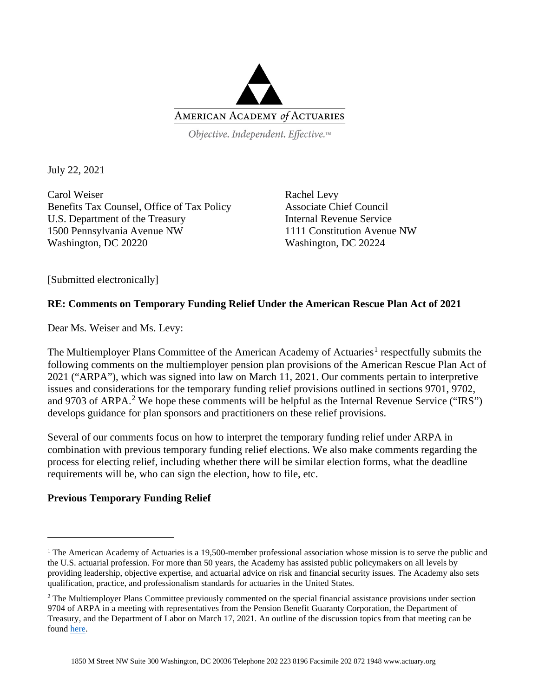

Objective. Independent. Effective.™

July 22, 2021

Carol Weiser Benefits Tax Counsel, Office of Tax Policy U.S. Department of the Treasury 1500 Pennsylvania Avenue NW Washington, DC 20220

Rachel Levy Associate Chief Council Internal Revenue Service 1111 Constitution Avenue NW Washington, DC 20224

[Submitted electronically]

# **RE: Comments on Temporary Funding Relief Under the American Rescue Plan Act of 2021**

Dear Ms. Weiser and Ms. Levy:

The Multiemployer Plans Committee of the American Academy of Actuaries<sup>[1](#page-0-0)</sup> respectfully submits the following comments on the multiemployer pension plan provisions of the American Rescue Plan Act of 2021 ("ARPA"), which was signed into law on March 11, 2021. Our comments pertain to interpretive issues and considerations for the temporary funding relief provisions outlined in sections 9701, 9702, and 9703 of ARPA.<sup>[2](#page-0-1)</sup> We hope these comments will be helpful as the Internal Revenue Service ("IRS") develops guidance for plan sponsors and practitioners on these relief provisions.

Several of our comments focus on how to interpret the temporary funding relief under ARPA in combination with previous temporary funding relief elections. We also make comments regarding the process for electing relief, including whether there will be similar election forms, what the deadline requirements will be, who can sign the election, how to file, etc.

# **Previous Temporary Funding Relief**

<span id="page-0-0"></span><sup>&</sup>lt;sup>1</sup> The American Academy of Actuaries is a 19,500-member professional association whose mission is to serve the public and the U.S. actuarial profession. For more than 50 years, the Academy has assisted public policymakers on all levels by providing leadership, objective expertise, and actuarial advice on risk and financial security issues. The Academy also sets qualification, practice, and professionalism standards for actuaries in the United States.

<span id="page-0-1"></span><sup>&</sup>lt;sup>2</sup> The Multiemployer Plans Committee previously commented on the special financial assistance provisions under section 9704 of ARPA in a meeting with representatives from the Pension Benefit Guaranty Corporation, the Department of Treasury, and the Department of Labor on March 17, 2021. An outline of the discussion topics from that meeting can be found [here.](https://www.actuary.org/node/14300)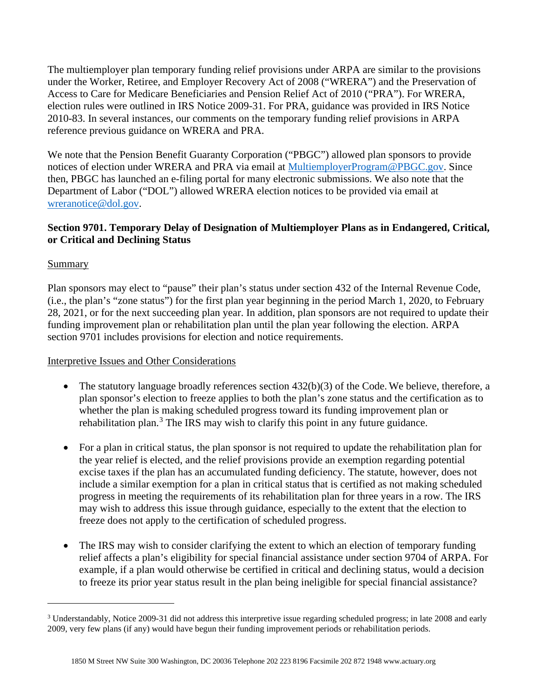The multiemployer plan temporary funding relief provisions under ARPA are similar to the provisions under the Worker, Retiree, and Employer Recovery Act of 2008 ("WRERA") and the Preservation of Access to Care for Medicare Beneficiaries and Pension Relief Act of 2010 ("PRA"). For WRERA, election rules were outlined in IRS Notice 2009-31. For PRA, guidance was provided in IRS Notice 2010-83. In several instances, our comments on the temporary funding relief provisions in ARPA reference previous guidance on WRERA and PRA.

We note that the Pension Benefit Guaranty Corporation ("PBGC") allowed plan sponsors to provide notices of election under WRERA and PRA via email at [MultiemployerProgram@PBGC.gov.](mailto:MultiemployerProgram@PBGC.gov) Since then, PBGC has launched an e-filing portal for many electronic submissions. We also note that the Department of Labor ("DOL") allowed WRERA election notices to be provided via email at [wreranotice@dol.gov.](mailto:wreranotice@dol.gov)

# **Section 9701. Temporary Delay of Designation of Multiemployer Plans as in Endangered, Critical, or Critical and Declining Status**

# Summary

Plan sponsors may elect to "pause" their plan's status under section 432 of the Internal Revenue Code, (i.e., the plan's "zone status") for the first plan year beginning in the period March 1, 2020, to February 28, 2021, or for the next succeeding plan year. In addition, plan sponsors are not required to update their funding improvement plan or rehabilitation plan until the plan year following the election. ARPA section 9701 includes provisions for election and notice requirements.

### Interpretive Issues and Other Considerations

- The statutory language broadly references section 432(b)(3) of the Code. We believe, therefore, a plan sponsor's election to freeze applies to both the plan's zone status and the certification as to whether the plan is making scheduled progress toward its funding improvement plan or rehabilitation plan.<sup>[3](#page-1-0)</sup> The IRS may wish to clarify this point in any future guidance.
- For a plan in critical status, the plan sponsor is not required to update the rehabilitation plan for the year relief is elected, and the relief provisions provide an exemption regarding potential excise taxes if the plan has an accumulated funding deficiency. The statute, however, does not include a similar exemption for a plan in critical status that is certified as not making scheduled progress in meeting the requirements of its rehabilitation plan for three years in a row. The IRS may wish to address this issue through guidance, especially to the extent that the election to freeze does not apply to the certification of scheduled progress.
- The IRS may wish to consider clarifying the extent to which an election of temporary funding relief affects a plan's eligibility for special financial assistance under section 9704 of ARPA. For example, if a plan would otherwise be certified in critical and declining status, would a decision to freeze its prior year status result in the plan being ineligible for special financial assistance?

<span id="page-1-0"></span><sup>&</sup>lt;sup>3</sup> Understandably, Notice 2009-31 did not address this interpretive issue regarding scheduled progress; in late 2008 and early 2009, very few plans (if any) would have begun their funding improvement periods or rehabilitation periods.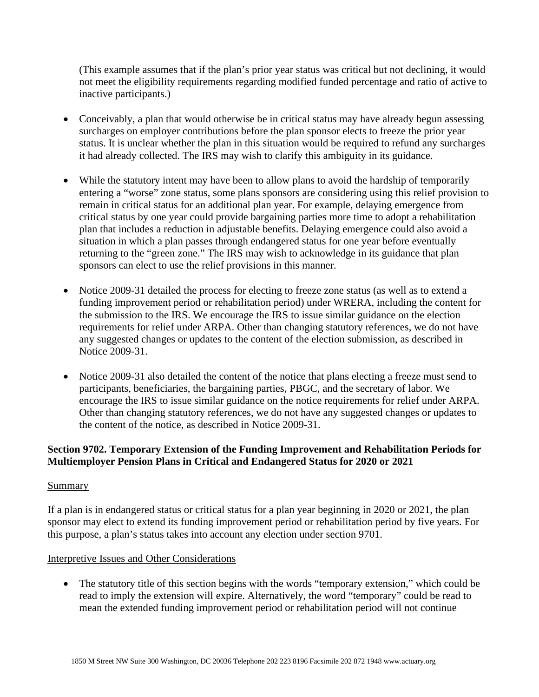(This example assumes that if the plan's prior year status was critical but not declining, it would not meet the eligibility requirements regarding modified funded percentage and ratio of active to inactive participants.)

- Conceivably, a plan that would otherwise be in critical status may have already begun assessing surcharges on employer contributions before the plan sponsor elects to freeze the prior year status. It is unclear whether the plan in this situation would be required to refund any surcharges it had already collected. The IRS may wish to clarify this ambiguity in its guidance.
- While the statutory intent may have been to allow plans to avoid the hardship of temporarily entering a "worse" zone status, some plans sponsors are considering using this relief provision to remain in critical status for an additional plan year. For example, delaying emergence from critical status by one year could provide bargaining parties more time to adopt a rehabilitation plan that includes a reduction in adjustable benefits. Delaying emergence could also avoid a situation in which a plan passes through endangered status for one year before eventually returning to the "green zone." The IRS may wish to acknowledge in its guidance that plan sponsors can elect to use the relief provisions in this manner.
- Notice 2009-31 detailed the process for electing to freeze zone status (as well as to extend a funding improvement period or rehabilitation period) under WRERA, including the content for the submission to the IRS. We encourage the IRS to issue similar guidance on the election requirements for relief under ARPA. Other than changing statutory references, we do not have any suggested changes or updates to the content of the election submission, as described in Notice 2009-31.
- Notice 2009-31 also detailed the content of the notice that plans electing a freeze must send to participants, beneficiaries, the bargaining parties, PBGC, and the secretary of labor. We encourage the IRS to issue similar guidance on the notice requirements for relief under ARPA. Other than changing statutory references, we do not have any suggested changes or updates to the content of the notice, as described in Notice 2009-31.

# **Section 9702. Temporary Extension of the Funding Improvement and Rehabilitation Periods for Multiemployer Pension Plans in Critical and Endangered Status for 2020 or 2021**

### Summary

If a plan is in endangered status or critical status for a plan year beginning in 2020 or 2021, the plan sponsor may elect to extend its funding improvement period or rehabilitation period by five years. For this purpose, a plan's status takes into account any election under section 9701.

### Interpretive Issues and Other Considerations

• The statutory title of this section begins with the words "temporary extension," which could be read to imply the extension will expire. Alternatively, the word "temporary" could be read to mean the extended funding improvement period or rehabilitation period will not continue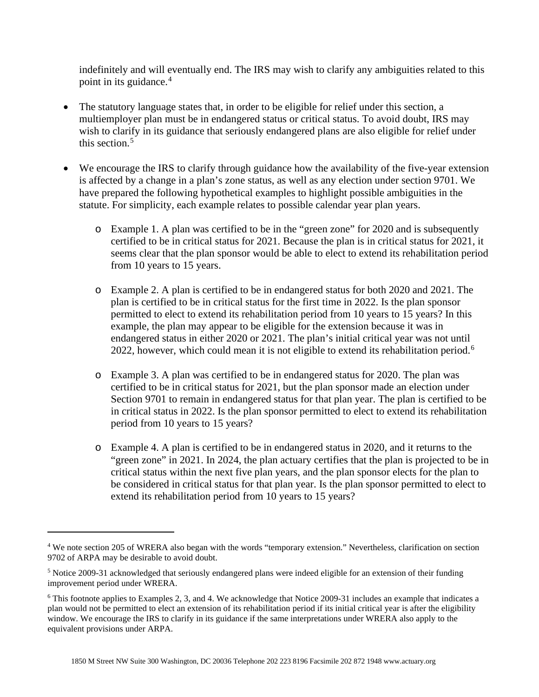indefinitely and will eventually end. The IRS may wish to clarify any ambiguities related to this point in its guidance.<sup>[4](#page-3-0)</sup>

- The statutory language states that, in order to be eligible for relief under this section, a multiemployer plan must be in endangered status or critical status. To avoid doubt, IRS may wish to clarify in its guidance that seriously endangered plans are also eligible for relief under this section. $5$
- We encourage the IRS to clarify through guidance how the availability of the five-year extension is affected by a change in a plan's zone status, as well as any election under section 9701. We have prepared the following hypothetical examples to highlight possible ambiguities in the statute. For simplicity, each example relates to possible calendar year plan years.
	- o Example 1. A plan was certified to be in the "green zone" for 2020 and is subsequently certified to be in critical status for 2021. Because the plan is in critical status for 2021, it seems clear that the plan sponsor would be able to elect to extend its rehabilitation period from 10 years to 15 years.
	- o Example 2. A plan is certified to be in endangered status for both 2020 and 2021. The plan is certified to be in critical status for the first time in 2022. Is the plan sponsor permitted to elect to extend its rehabilitation period from 10 years to 15 years? In this example, the plan may appear to be eligible for the extension because it was in endangered status in either 2020 or 2021. The plan's initial critical year was not until 2022, however, which could mean it is not eligible to extend its rehabilitation period.<sup>[6](#page-3-2)</sup>
	- o Example 3. A plan was certified to be in endangered status for 2020. The plan was certified to be in critical status for 2021, but the plan sponsor made an election under Section 9701 to remain in endangered status for that plan year. The plan is certified to be in critical status in 2022. Is the plan sponsor permitted to elect to extend its rehabilitation period from 10 years to 15 years?
	- o Example 4. A plan is certified to be in endangered status in 2020, and it returns to the "green zone" in 2021. In 2024, the plan actuary certifies that the plan is projected to be in critical status within the next five plan years, and the plan sponsor elects for the plan to be considered in critical status for that plan year. Is the plan sponsor permitted to elect to extend its rehabilitation period from 10 years to 15 years?

<span id="page-3-0"></span><sup>&</sup>lt;sup>4</sup> We note section 205 of WRERA also began with the words "temporary extension." Nevertheless, clarification on section 9702 of ARPA may be desirable to avoid doubt.

<span id="page-3-1"></span><sup>5</sup> Notice 2009-31 acknowledged that seriously endangered plans were indeed eligible for an extension of their funding improvement period under WRERA.

<span id="page-3-2"></span><sup>6</sup> This footnote applies to Examples 2, 3, and 4. We acknowledge that Notice 2009-31 includes an example that indicates a plan would not be permitted to elect an extension of its rehabilitation period if its initial critical year is after the eligibility window. We encourage the IRS to clarify in its guidance if the same interpretations under WRERA also apply to the equivalent provisions under ARPA.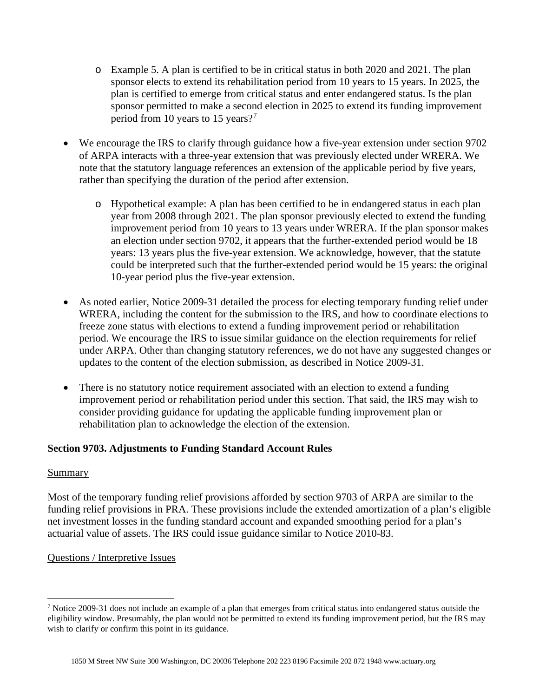- o Example 5. A plan is certified to be in critical status in both 2020 and 2021. The plan sponsor elects to extend its rehabilitation period from 10 years to 15 years. In 2025, the plan is certified to emerge from critical status and enter endangered status. Is the plan sponsor permitted to make a second election in 2025 to extend its funding improvement period from 10 years to 15 years?<sup>[7](#page-4-0)</sup>
- We encourage the IRS to clarify through guidance how a five-year extension under section 9702 of ARPA interacts with a three-year extension that was previously elected under WRERA. We note that the statutory language references an extension of the applicable period by five years, rather than specifying the duration of the period after extension.
	- o Hypothetical example: A plan has been certified to be in endangered status in each plan year from 2008 through 2021. The plan sponsor previously elected to extend the funding improvement period from 10 years to 13 years under WRERA. If the plan sponsor makes an election under section 9702, it appears that the further-extended period would be 18 years: 13 years plus the five-year extension. We acknowledge, however, that the statute could be interpreted such that the further-extended period would be 15 years: the original 10-year period plus the five-year extension.
- As noted earlier, Notice 2009-31 detailed the process for electing temporary funding relief under WRERA, including the content for the submission to the IRS, and how to coordinate elections to freeze zone status with elections to extend a funding improvement period or rehabilitation period. We encourage the IRS to issue similar guidance on the election requirements for relief under ARPA. Other than changing statutory references, we do not have any suggested changes or updates to the content of the election submission, as described in Notice 2009-31.
- There is no statutory notice requirement associated with an election to extend a funding improvement period or rehabilitation period under this section. That said, the IRS may wish to consider providing guidance for updating the applicable funding improvement plan or rehabilitation plan to acknowledge the election of the extension.

# **Section 9703. Adjustments to Funding Standard Account Rules**

### Summary

Most of the temporary funding relief provisions afforded by section 9703 of ARPA are similar to the funding relief provisions in PRA. These provisions include the extended amortization of a plan's eligible net investment losses in the funding standard account and expanded smoothing period for a plan's actuarial value of assets. The IRS could issue guidance similar to Notice 2010-83.

# Questions / Interpretive Issues

<span id="page-4-0"></span> $<sup>7</sup>$  Notice 2009-31 does not include an example of a plan that emerges from critical status into endangered status outside the</sup> eligibility window. Presumably, the plan would not be permitted to extend its funding improvement period, but the IRS may wish to clarify or confirm this point in its guidance.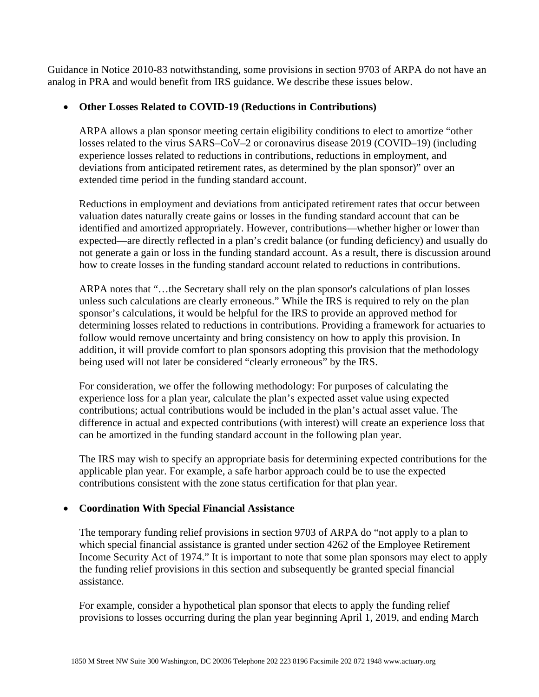Guidance in Notice 2010-83 notwithstanding, some provisions in section 9703 of ARPA do not have an analog in PRA and would benefit from IRS guidance. We describe these issues below.

### • **Other Losses Related to COVID-19 (Reductions in Contributions)**

ARPA allows a plan sponsor meeting certain eligibility conditions to elect to amortize "other losses related to the virus SARS–CoV–2 or coronavirus disease 2019 (COVID–19) (including experience losses related to reductions in contributions, reductions in employment, and deviations from anticipated retirement rates, as determined by the plan sponsor)" over an extended time period in the funding standard account.

Reductions in employment and deviations from anticipated retirement rates that occur between valuation dates naturally create gains or losses in the funding standard account that can be identified and amortized appropriately. However, contributions—whether higher or lower than expected—are directly reflected in a plan's credit balance (or funding deficiency) and usually do not generate a gain or loss in the funding standard account. As a result, there is discussion around how to create losses in the funding standard account related to reductions in contributions.

ARPA notes that "…the Secretary shall rely on the plan sponsor's calculations of plan losses unless such calculations are clearly erroneous." While the IRS is required to rely on the plan sponsor's calculations, it would be helpful for the IRS to provide an approved method for determining losses related to reductions in contributions. Providing a framework for actuaries to follow would remove uncertainty and bring consistency on how to apply this provision. In addition, it will provide comfort to plan sponsors adopting this provision that the methodology being used will not later be considered "clearly erroneous" by the IRS.

For consideration, we offer the following methodology: For purposes of calculating the experience loss for a plan year, calculate the plan's expected asset value using expected contributions; actual contributions would be included in the plan's actual asset value. The difference in actual and expected contributions (with interest) will create an experience loss that can be amortized in the funding standard account in the following plan year.

The IRS may wish to specify an appropriate basis for determining expected contributions for the applicable plan year. For example, a safe harbor approach could be to use the expected contributions consistent with the zone status certification for that plan year.

# • **Coordination With Special Financial Assistance**

The temporary funding relief provisions in section 9703 of ARPA do "not apply to a plan to which special financial assistance is granted under section 4262 of the Employee Retirement Income Security Act of 1974." It is important to note that some plan sponsors may elect to apply the funding relief provisions in this section and subsequently be granted special financial assistance.

For example, consider a hypothetical plan sponsor that elects to apply the funding relief provisions to losses occurring during the plan year beginning April 1, 2019, and ending March